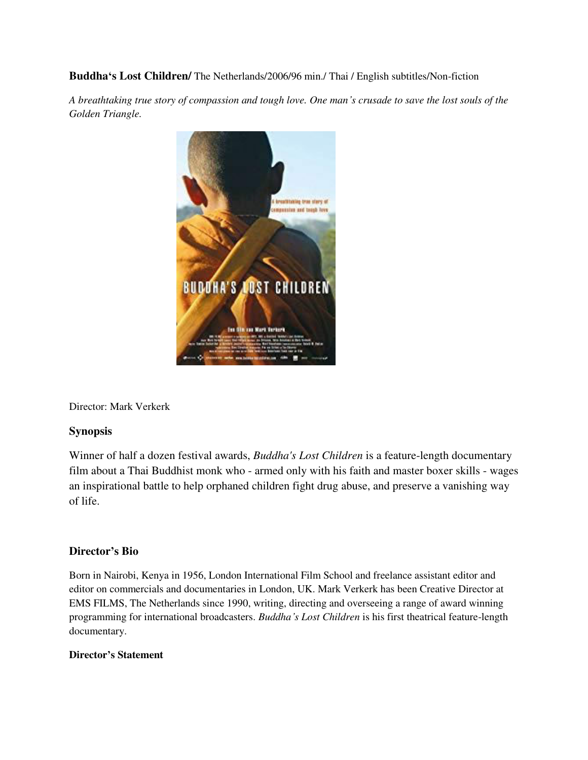**Buddha's Lost Children/** The Netherlands/2006/96 min./ Thai / English subtitles/Non-fiction

*A breathtaking true story of compassion and tough love. One man's crusade to save the lost souls of the Golden Triangle.* 



Director: Mark Verkerk

## **Synopsis**

Winner of half a dozen festival awards, *Buddha's Lost Children* is a feature-length documentary film about a Thai Buddhist monk who - armed only with his faith and master boxer skills - wages an inspirational battle to help orphaned children fight drug abuse, and preserve a vanishing way of life.

## **Director's Bio**

Born in Nairobi, Kenya in 1956, London International Film School and freelance assistant editor and editor on commercials and documentaries in London, UK. Mark Verkerk has been Creative Director at EMS FILMS, The Netherlands since 1990, writing, directing and overseeing a range of award winning programming for international broadcasters. *Buddha's Lost Children* is his first theatrical feature-length documentary.

## **Director's Statement**